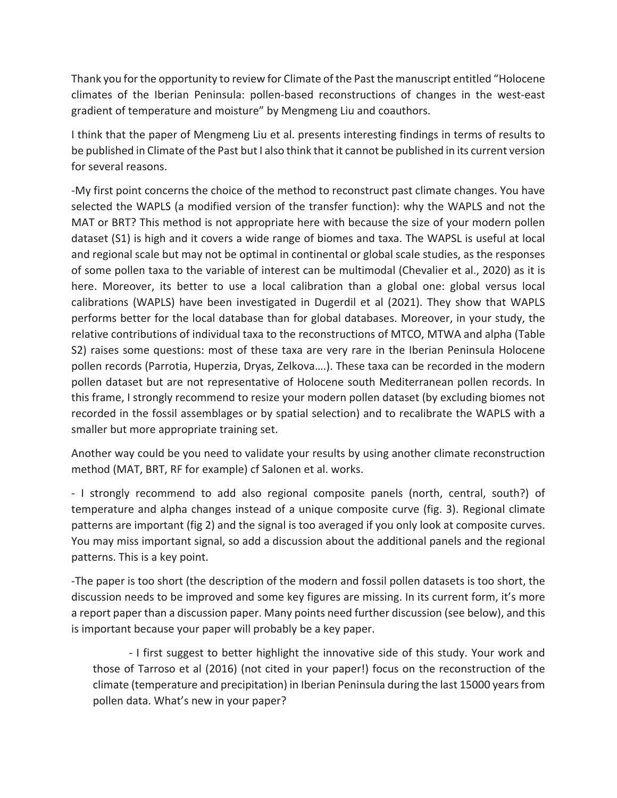Thank you for the opportunity to review for Climate of the Past the manuscript entitled "Holocene climates of the Iberian Peninsula: pollen-based reconstructions of changes in the west-east gradient of temperature and moisture" by Mengmeng Liu and coauthors.

I think that the paper of Mengmeng Liu et al. presents interesting findings in terms of results to be published in Climate of the Past but I also think that it cannot be published in its current version for several reasons.

-My first point concerns the choice of the method to reconstruct past climate changes. You have selected the WAPLS (a modified version of the transfer function): why the WAPLS and not the MAT or BRT? This method is not appropriate here with because the size of your modern pollen dataset (S1) is high and it covers a wide range of biomes and taxa. The WAPSL is useful at local and regional scale but may not be optimal in continental or global scale studies, as the responses of some pollen taxa to the variable of interest can be multimodal (Chevalier et al., 2020) as it is here. Moreover, its better to use a local calibration than a global one: global versus local calibrations (WAPLS) have been investigated in Dugerdil et al (2021). They show that WAPLS performs better for the local database than for global databases. Moreover, in your study, the relative contributions of individual taxa to the reconstructions of MTCO, MTWA and alpha (Table S2) raises some questions: most of these taxa are very rare in the Iberian Peninsula Holocene pollen records (Parrotia, Huperzia, Dryas, Zelkova….). These taxa can be recorded in the modern pollen dataset but are not representative of Holocene south Mediterranean pollen records. In this frame, I strongly recommend to resize your modern pollen dataset (by excluding biomes not recorded in the fossil assemblages or by spatial selection) and to recalibrate the WAPLS with a smaller but more appropriate training set.

Another way could be you need to validate your results by using another climate reconstruction method (MAT, BRT, RF for example) cf Salonen et al. works.

- I strongly recommend to add also regional composite panels (north, central, south?) of temperature and alpha changes instead of a unique composite curve (fig. 3). Regional climate patterns are important (fig 2) and the signal is too averaged if you only look at composite curves. You may miss important signal, so add a discussion about the additional panels and the regional patterns. This is a key point.

-The paper is too short (the description of the modern and fossil pollen datasets is too short, the discussion needs to be improved and some key figures are missing. In its current form, it's more a report paper than a discussion paper. Many points need further discussion (see below), and this is important because your paper will probably be a key paper.

- I first suggest to better highlight the innovative side of this study. Your work and those of Tarroso et al (2016) (not cited in your paper!) focus on the reconstruction of the climate (temperature and precipitation) in Iberian Peninsula during the last 15000 years from pollen data. What's new in your paper?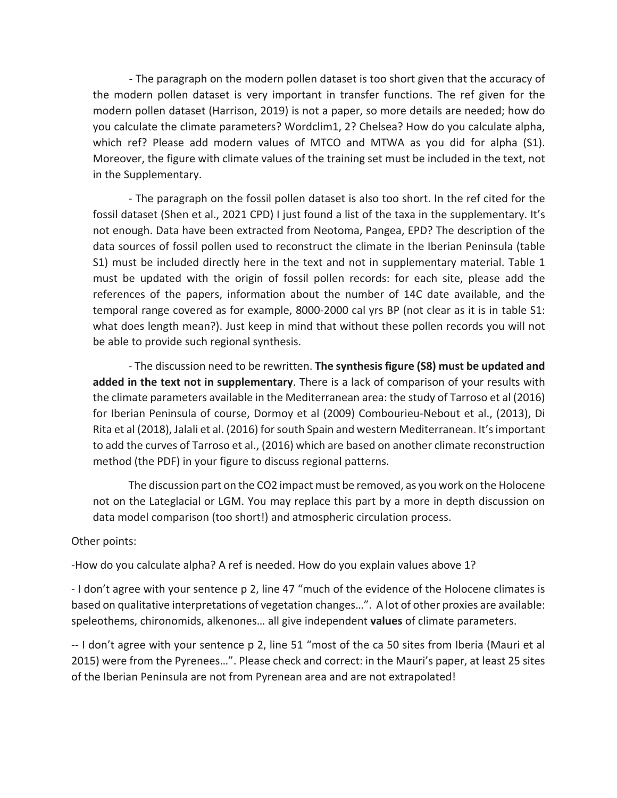- The paragraph on the modern pollen dataset is too short given that the accuracy of the modern pollen dataset is very important in transfer functions. The ref given for the modern pollen dataset (Harrison, 2019) is not a paper, so more details are needed; how do you calculate the climate parameters? Wordclim1, 2? Chelsea? How do you calculate alpha, which ref? Please add modern values of MTCO and MTWA as you did for alpha (S1). Moreover, the figure with climate values of the training set must be included in the text, not in the Supplementary.

- The paragraph on the fossil pollen dataset is also too short. In the ref cited for the fossil dataset (Shen et al., 2021 CPD) I just found a list of the taxa in the supplementary. It's not enough. Data have been extracted from Neotoma, Pangea, EPD? The description of the data sources of fossil pollen used to reconstruct the climate in the Iberian Peninsula (table S1) must be included directly here in the text and not in supplementary material. Table 1 must be updated with the origin of fossil pollen records: for each site, please add the references of the papers, information about the number of 14C date available, and the temporal range covered as for example, 8000-2000 cal yrs BP (not clear as it is in table S1: what does length mean?). Just keep in mind that without these pollen records you will not be able to provide such regional synthesis.

- The discussion need to be rewritten. **The synthesis figure (S8) must be updated and added in the text not in supplementary**. There is a lack of comparison of your results with the climate parameters available in the Mediterranean area: the study of Tarroso et al (2016) for Iberian Peninsula of course, Dormoy et al (2009) Combourieu-Nebout et al., (2013), Di Rita et al (2018), Jalali et al. (2016) for south Spain and western Mediterranean. It's important to add the curves of Tarroso et al., (2016) which are based on another climate reconstruction method (the PDF) in your figure to discuss regional patterns.

The discussion part on the CO2 impact must be removed, as you work on the Holocene not on the Lateglacial or LGM. You may replace this part by a more in depth discussion on data model comparison (too short!) and atmospheric circulation process.

## Other points:

-How do you calculate alpha? A ref is needed. How do you explain values above 1?

- I don't agree with your sentence p 2, line 47 "much of the evidence of the Holocene climates is based on qualitative interpretations of vegetation changes…". A lot of other proxies are available: speleothems, chironomids, alkenones… all give independent **values** of climate parameters.

-- I don't agree with your sentence p 2, line 51 "most of the ca 50 sites from Iberia (Mauri et al 2015) were from the Pyrenees…". Please check and correct: in the Mauri's paper, at least 25 sites of the Iberian Peninsula are not from Pyrenean area and are not extrapolated!